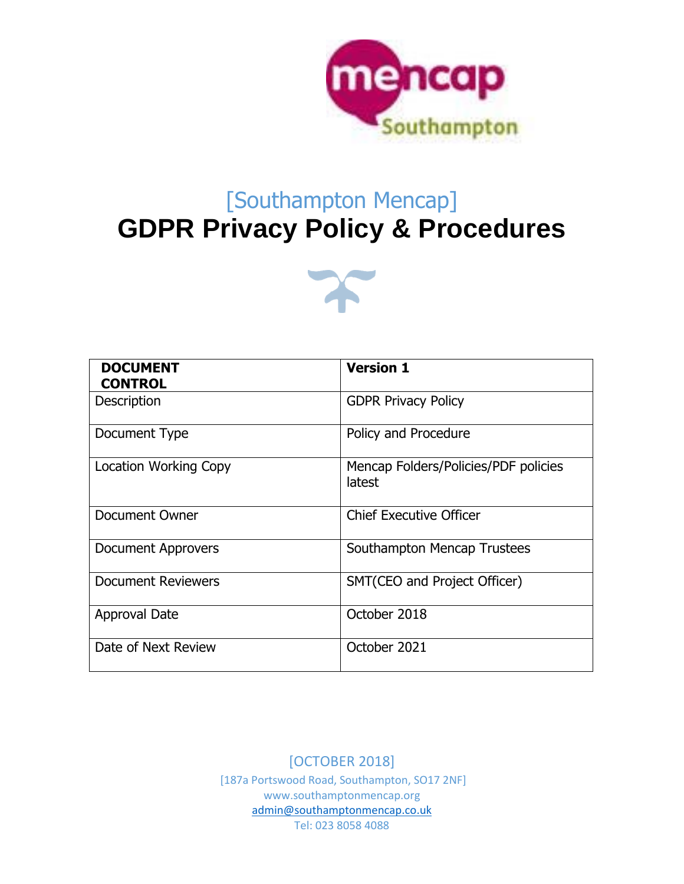

# [Southampton Mencap] **GDPR Privacy Policy & Procedures**



| <b>DOCUMENT</b><br><b>CONTROL</b> | <b>Version 1</b>                               |
|-----------------------------------|------------------------------------------------|
| Description                       | <b>GDPR Privacy Policy</b>                     |
| Document Type                     | Policy and Procedure                           |
| <b>Location Working Copy</b>      | Mencap Folders/Policies/PDF policies<br>latest |
| Document Owner                    | <b>Chief Executive Officer</b>                 |
| <b>Document Approvers</b>         | Southampton Mencap Trustees                    |
| <b>Document Reviewers</b>         | SMT(CEO and Project Officer)                   |
| Approval Date                     | October 2018                                   |
| Date of Next Review               | October 2021                                   |

[OCTOBER 2018] [187a Portswood Road, Southampton, SO17 2NF] www.southamptonmencap.org [admin@southamptonmencap.co.uk](mailto:admin@southamptonmencap.co.uk) Tel: 023 8058 4088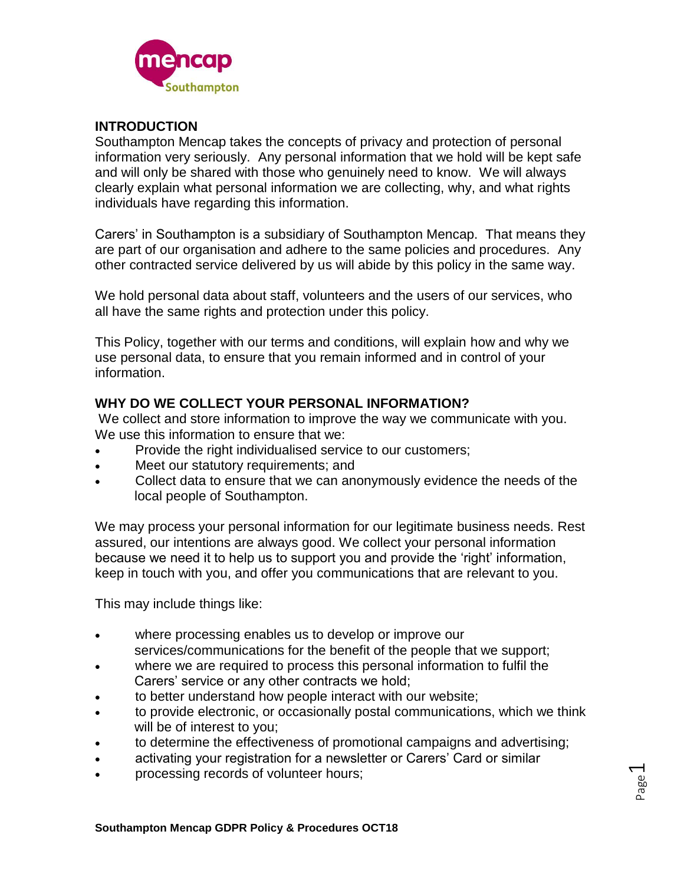

# **INTRODUCTION**

Southampton Mencap takes the concepts of privacy and protection of personal information very seriously. Any personal information that we hold will be kept safe and will only be shared with those who genuinely need to know. We will always clearly explain what personal information we are collecting, why, and what rights individuals have regarding this information.

Carers' in Southampton is a subsidiary of Southampton Mencap. That means they are part of our organisation and adhere to the same policies and procedures. Any other contracted service delivered by us will abide by this policy in the same way.

We hold personal data about staff, volunteers and the users of our services, who all have the same rights and protection under this policy.

This Policy, together with our terms and conditions, will explain how and why we use personal data, to ensure that you remain informed and in control of your information.

### **WHY DO WE COLLECT YOUR PERSONAL INFORMATION?**

We collect and store information to improve the way we communicate with you. We use this information to ensure that we:

- Provide the right individualised service to our customers;
- Meet our statutory requirements; and
- Collect data to ensure that we can anonymously evidence the needs of the local people of Southampton.

We may process your personal information for our legitimate business needs. Rest assured, our intentions are always good. We collect your personal information because we need it to help us to support you and provide the 'right' information, keep in touch with you, and offer you communications that are relevant to you.

This may include things like:

- where processing enables us to develop or improve our services/communications for the benefit of the people that we support;
- where we are required to process this personal information to fulfil the Carers' service or any other contracts we hold;
- to better understand how people interact with our website;
- to provide electronic, or occasionally postal communications, which we think will be of interest to you;
- to determine the effectiveness of promotional campaigns and advertising;
- activating your registration for a newsletter or Carers' Card or similar
- processing records of volunteer hours;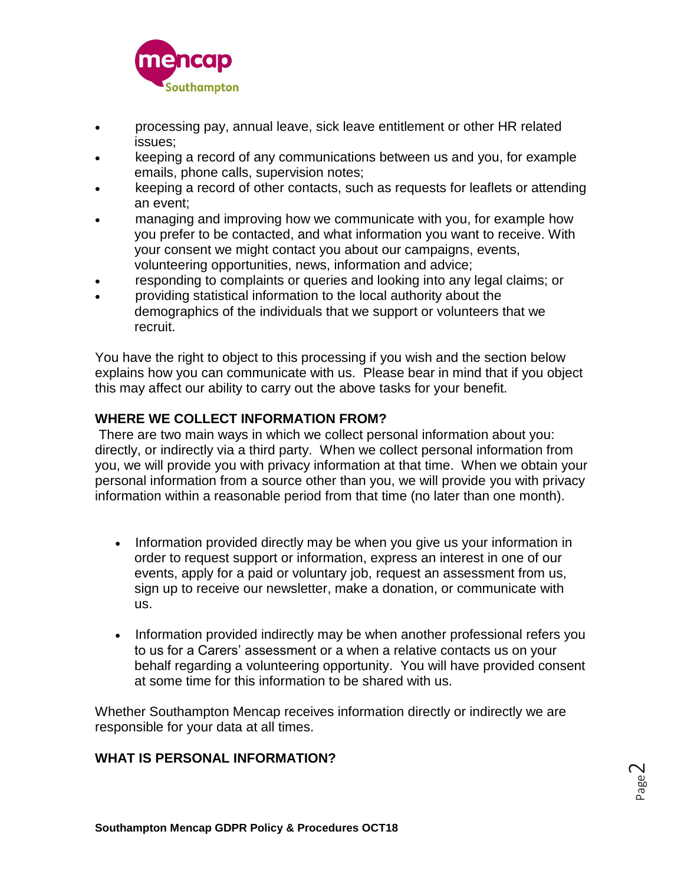

- processing pay, annual leave, sick leave entitlement or other HR related issues;
- keeping a record of any communications between us and you, for example emails, phone calls, supervision notes;
- keeping a record of other contacts, such as requests for leaflets or attending an event;
- managing and improving how we communicate with you, for example how you prefer to be contacted, and what information you want to receive. With your consent we might contact you about our campaigns, events, volunteering opportunities, news, information and advice;
- responding to complaints or queries and looking into any legal claims; or
- providing statistical information to the local authority about the demographics of the individuals that we support or volunteers that we recruit.

You have the right to object to this processing if you wish and the section below explains how you can communicate with us. Please bear in mind that if you object this may affect our ability to carry out the above tasks for your benefit.

# **WHERE WE COLLECT INFORMATION FROM?**

There are two main ways in which we collect personal information about you: directly, or indirectly via a third party. When we collect personal information from you, we will provide you with privacy information at that time. When we obtain your personal information from a source other than you, we will provide you with privacy information within a reasonable period from that time (no later than one month).

- Information provided directly may be when you give us your information in order to request support or information, express an interest in one of our events, apply for a paid or voluntary job, request an assessment from us, sign up to receive our newsletter, make a donation, or communicate with us.
- Information provided indirectly may be when another professional refers you to us for a Carers' assessment or a when a relative contacts us on your behalf regarding a volunteering opportunity. You will have provided consent at some time for this information to be shared with us.

Whether Southampton Mencap receives information directly or indirectly we are responsible for your data at all times.

### **WHAT IS PERSONAL INFORMATION?**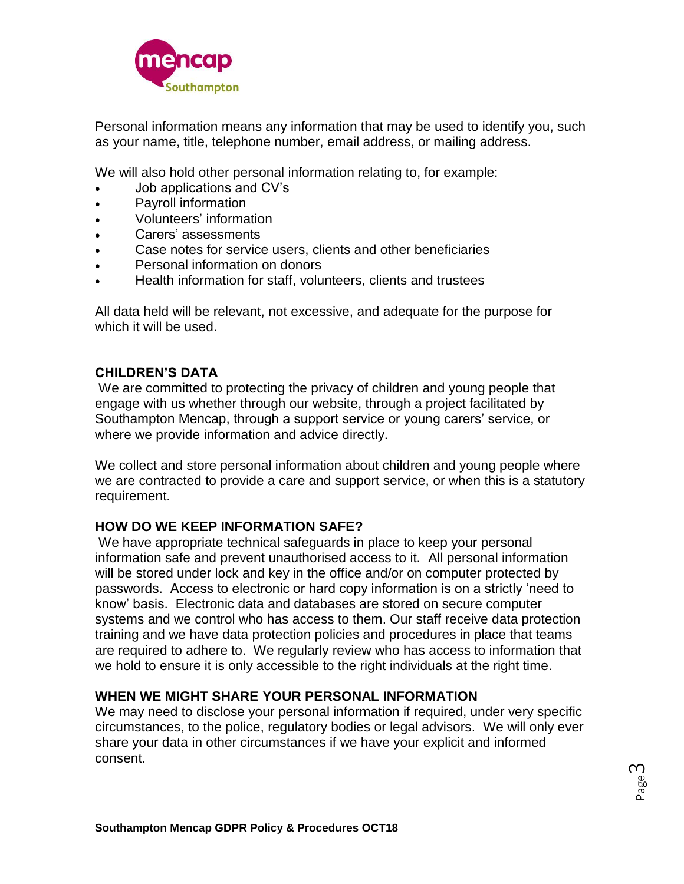

Personal information means any information that may be used to identify you, such as your name, title, telephone number, email address, or mailing address.

We will also hold other personal information relating to, for example:

- Job applications and CV's
- Payroll information
- Volunteers' information
- Carers' assessments
- Case notes for service users, clients and other beneficiaries
- Personal information on donors
- Health information for staff, volunteers, clients and trustees

All data held will be relevant, not excessive, and adequate for the purpose for which it will be used.

# **CHILDREN'S DATA**

We are committed to protecting the privacy of children and young people that engage with us whether through our website, through a project facilitated by Southampton Mencap, through a support service or young carers' service, or where we provide information and advice directly.

We collect and store personal information about children and young people where we are contracted to provide a care and support service, or when this is a statutory requirement.

### **HOW DO WE KEEP INFORMATION SAFE?**

We have appropriate technical safeguards in place to keep your personal information safe and prevent unauthorised access to it. All personal information will be stored under lock and key in the office and/or on computer protected by passwords. Access to electronic or hard copy information is on a strictly 'need to know' basis. Electronic data and databases are stored on secure computer systems and we control who has access to them. Our staff receive data protection training and we have data protection policies and procedures in place that teams are required to adhere to. We regularly review who has access to information that we hold to ensure it is only accessible to the right individuals at the right time.

# **WHEN WE MIGHT SHARE YOUR PERSONAL INFORMATION**

We may need to disclose your personal information if required, under very specific circumstances, to the police, regulatory bodies or legal advisors. We will only ever share your data in other circumstances if we have your explicit and informed consent.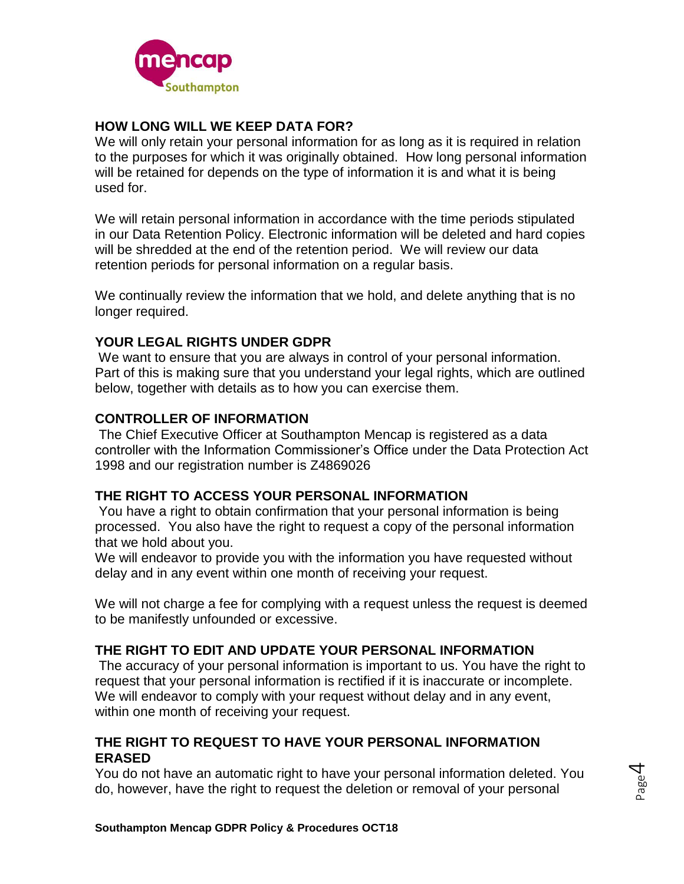

# **HOW LONG WILL WE KEEP DATA FOR?**

We will only retain your personal information for as long as it is required in relation to the purposes for which it was originally obtained. How long personal information will be retained for depends on the type of information it is and what it is being used for.

We will retain personal information in accordance with the time periods stipulated in our Data Retention Policy. Electronic information will be deleted and hard copies will be shredded at the end of the retention period. We will review our data retention periods for personal information on a regular basis.

We continually review the information that we hold, and delete anything that is no longer required.

# **YOUR LEGAL RIGHTS UNDER GDPR**

We want to ensure that you are always in control of your personal information. Part of this is making sure that you understand your legal rights, which are outlined below, together with details as to how you can exercise them.

# **CONTROLLER OF INFORMATION**

The Chief Executive Officer at Southampton Mencap is registered as a data controller with the Information Commissioner's Office under the Data Protection Act 1998 and our registration number is Z4869026

### **THE RIGHT TO ACCESS YOUR PERSONAL INFORMATION**

You have a right to obtain confirmation that your personal information is being processed. You also have the right to request a copy of the personal information that we hold about you.

We will endeavor to provide you with the information you have requested without delay and in any event within one month of receiving your request.

We will not charge a fee for complying with a request unless the request is deemed to be manifestly unfounded or excessive.

# **THE RIGHT TO EDIT AND UPDATE YOUR PERSONAL INFORMATION**

The accuracy of your personal information is important to us. You have the right to request that your personal information is rectified if it is inaccurate or incomplete. We will endeavor to comply with your request without delay and in any event, within one month of receiving your request.

# **THE RIGHT TO REQUEST TO HAVE YOUR PERSONAL INFORMATION ERASED**

You do not have an automatic right to have your personal information deleted. You do, however, have the right to request the deletion or removal of your personal